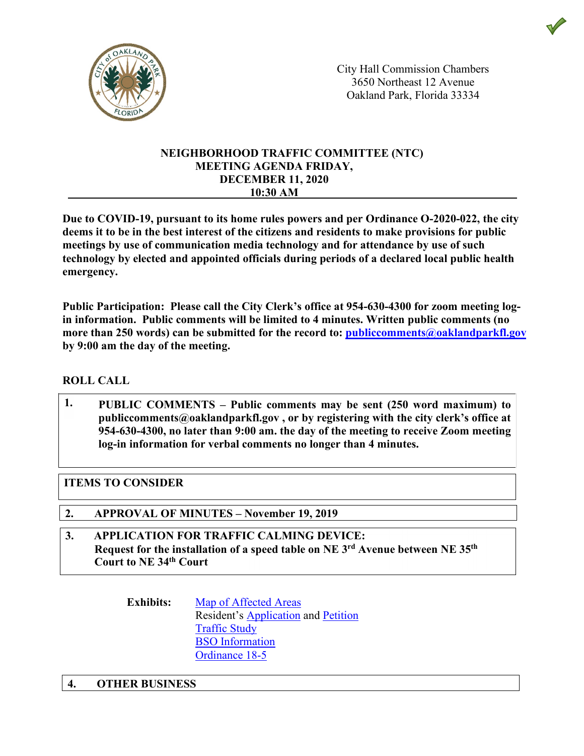

City Hall Commission Chambers City Hall Commission Chambers 3650 3650 Northeast 12 Avenue Northeast 12 Avenue Oakland Park, Oakland Park, Florida 33334 Florida 33334

#### **NEIGHBORHOOD TRAFFIC COMMITTEE (NTC) MEETING AGENDA FRIDAY, DECEMBER 11, 2020 10:30 AM**

**Due to COVID-19, pursuant to its home rules powers and per Ordinance O-2020-022, the city deems it to be in the best interest of the citizens and residents to make provisions for public meetings by use of communication media technology and for attendance by use of such technology by elected and appointed officials during periods of a declared local public health emergency.**

**Public Participation: Please call the City Clerk's office at 954-630-4300 for zoom meeting login information. Public comments will be limited to 4 minutes. Written public comments (no more than 250 words) can be submitted for the record to: publiccomments@oaklandparkfl.gov by 9:00 am the day of the meeting.**

# **ROLL CALL**

**1. PUBLIC COMMENTS – Public comments may be sent (250 word maximum) to publiccomments@oaklandparkfl.gov , or by registering with the city clerk's office at 954-630-4300, no later than 9:00 am. the day of the meeting to receive Zoom meeting log-in information for verbal comments no longer than 4 minutes.**

# **ITEMS TO CONSIDER**

- **2. APPROVAL OF MINUTES – November 19, 2019**
- **3. APPLICATION FOR TRAFFIC CALMING DEVICE: Request for the installation of a speed table on NE 3rd Avenue between NE 35th Court to NE 34th Court**
	- **Exhibits:** Map of Affected Areas Resident's Application and Petition Traffic Study BSO Information Ordinance 18-5

### **4. OTHER BUSINESS**